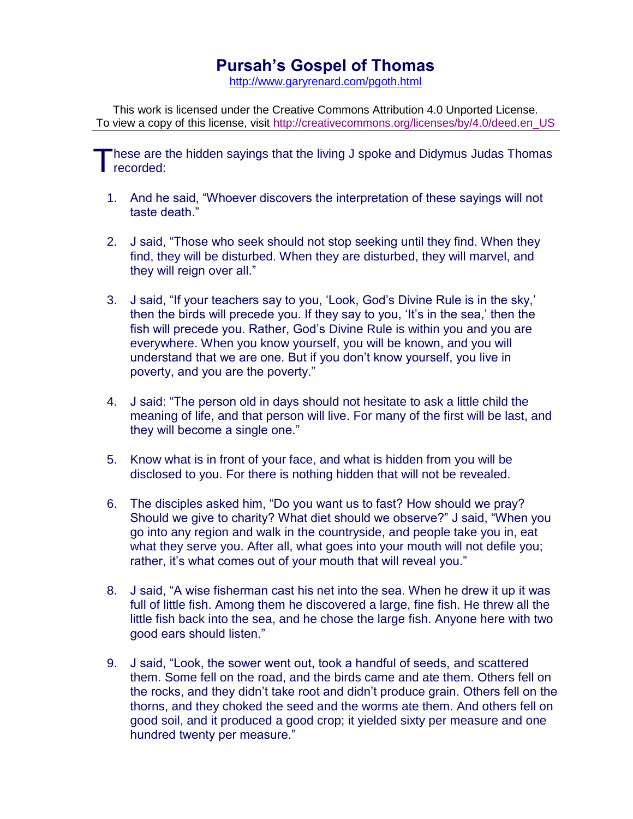## **Pursah's Gospel of Thomas**

<http://www.garyrenard.com/pgoth.html>

This work is licensed under the Creative Commons Attribution 4.0 Unported License. To view a copy of this license, visit [http://creativecommons.org/licenses/by/4.0/deed.en\\_US](http://creativecommons.org/licenses/by/4.0/deed.en_US)

hese are the hidden sayings that the living J spoke and Didymus Judas Thomas These are<br>recorded:

- 1. And he said, "Whoever discovers the interpretation of these sayings will not taste death."
- 2. J said, "Those who seek should not stop seeking until they find. When they find, they will be disturbed. When they are disturbed, they will marvel, and they will reign over all."
- 3. J said, "If your teachers say to you, 'Look, God's Divine Rule is in the sky,' then the birds will precede you. If they say to you, 'It's in the sea,' then the fish will precede you. Rather, God's Divine Rule is within you and you are everywhere. When you know yourself, you will be known, and you will understand that we are one. But if you don't know yourself, you live in poverty, and you are the poverty."
- 4. J said: "The person old in days should not hesitate to ask a little child the meaning of life, and that person will live. For many of the first will be last, and they will become a single one."
- 5. Know what is in front of your face, and what is hidden from you will be disclosed to you. For there is nothing hidden that will not be revealed.
- 6. The disciples asked him, "Do you want us to fast? How should we pray? Should we give to charity? What diet should we observe?" J said, "When you go into any region and walk in the countryside, and people take you in, eat what they serve you. After all, what goes into your mouth will not defile you; rather, it's what comes out of your mouth that will reveal you."
- 8. J said, "A wise fisherman cast his net into the sea. When he drew it up it was full of little fish. Among them he discovered a large, fine fish. He threw all the little fish back into the sea, and he chose the large fish. Anyone here with two good ears should listen."
- 9. J said, "Look, the sower went out, took a handful of seeds, and scattered them. Some fell on the road, and the birds came and ate them. Others fell on the rocks, and they didn't take root and didn't produce grain. Others fell on the thorns, and they choked the seed and the worms ate them. And others fell on good soil, and it produced a good crop; it yielded sixty per measure and one hundred twenty per measure."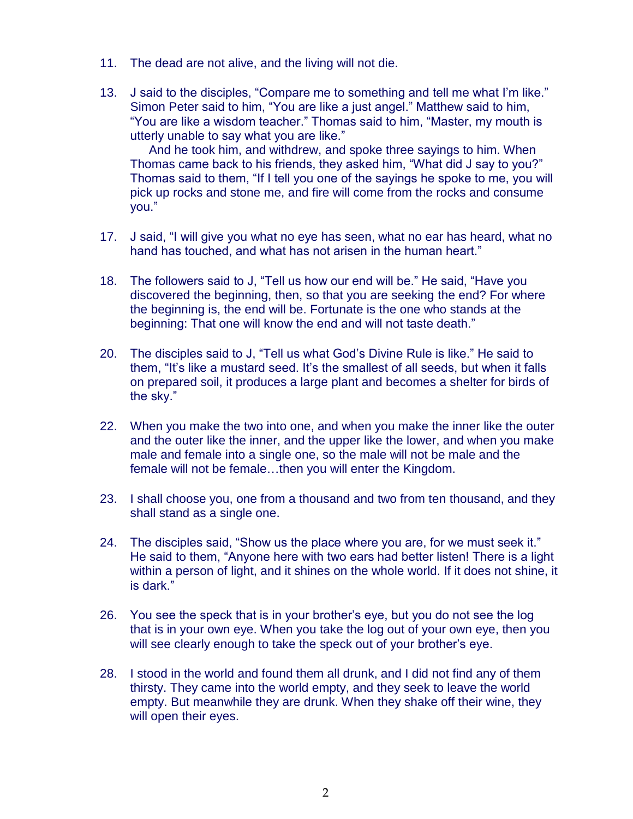- 11. The dead are not alive, and the living will not die.
- 13. J said to the disciples, "Compare me to something and tell me what I'm like." Simon Peter said to him, "You are like a just angel." Matthew said to him, "You are like a wisdom teacher." Thomas said to him, "Master, my mouth is utterly unable to say what you are like."

And he took him, and withdrew, and spoke three sayings to him. When Thomas came back to his friends, they asked him, "What did J say to you?" Thomas said to them, "If I tell you one of the sayings he spoke to me, you will pick up rocks and stone me, and fire will come from the rocks and consume you."

- 17. J said, "I will give you what no eye has seen, what no ear has heard, what no hand has touched, and what has not arisen in the human heart."
- 18. The followers said to J, "Tell us how our end will be." He said, "Have you discovered the beginning, then, so that you are seeking the end? For where the beginning is, the end will be. Fortunate is the one who stands at the beginning: That one will know the end and will not taste death."
- 20. The disciples said to J, "Tell us what God's Divine Rule is like." He said to them, "It's like a mustard seed. It's the smallest of all seeds, but when it falls on prepared soil, it produces a large plant and becomes a shelter for birds of the sky."
- 22. When you make the two into one, and when you make the inner like the outer and the outer like the inner, and the upper like the lower, and when you make male and female into a single one, so the male will not be male and the female will not be female…then you will enter the Kingdom.
- 23. I shall choose you, one from a thousand and two from ten thousand, and they shall stand as a single one.
- 24. The disciples said, "Show us the place where you are, for we must seek it." He said to them, "Anyone here with two ears had better listen! There is a light within a person of light, and it shines on the whole world. If it does not shine, it is dark."
- 26. You see the speck that is in your brother's eye, but you do not see the log that is in your own eye. When you take the log out of your own eye, then you will see clearly enough to take the speck out of your brother's eye.
- 28. I stood in the world and found them all drunk, and I did not find any of them thirsty. They came into the world empty, and they seek to leave the world empty. But meanwhile they are drunk. When they shake off their wine, they will open their eyes.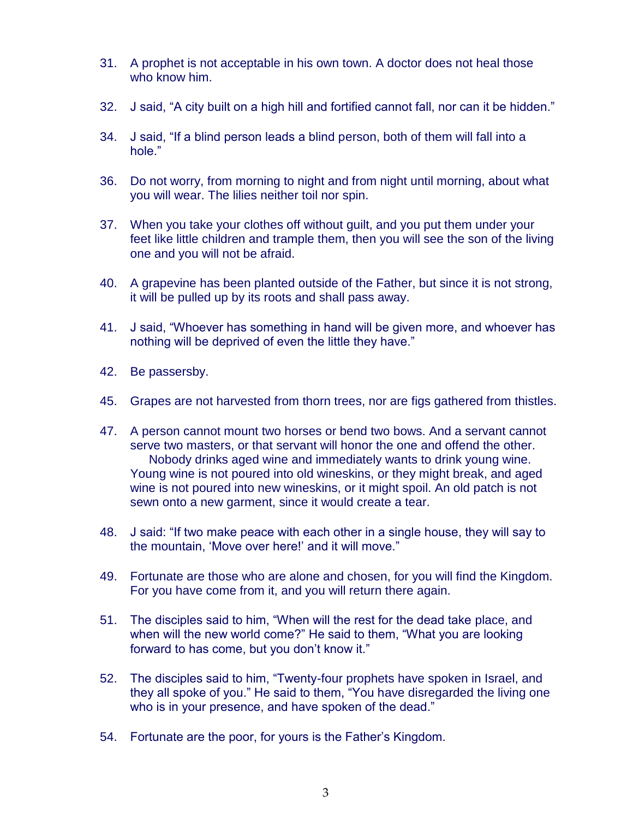- 31. A prophet is not acceptable in his own town. A doctor does not heal those who know him.
- 32. J said, "A city built on a high hill and fortified cannot fall, nor can it be hidden."
- 34. J said, "If a blind person leads a blind person, both of them will fall into a hole."
- 36. Do not worry, from morning to night and from night until morning, about what you will wear. The lilies neither toil nor spin.
- 37. When you take your clothes off without guilt, and you put them under your feet like little children and trample them, then you will see the son of the living one and you will not be afraid.
- 40. A grapevine has been planted outside of the Father, but since it is not strong, it will be pulled up by its roots and shall pass away.
- 41. J said, "Whoever has something in hand will be given more, and whoever has nothing will be deprived of even the little they have."
- 42. Be passersby.
- 45. Grapes are not harvested from thorn trees, nor are figs gathered from thistles.
- 47. A person cannot mount two horses or bend two bows. And a servant cannot serve two masters, or that servant will honor the one and offend the other. Nobody drinks aged wine and immediately wants to drink young wine. Young wine is not poured into old wineskins, or they might break, and aged wine is not poured into new wineskins, or it might spoil. An old patch is not sewn onto a new garment, since it would create a tear.
- 48. J said: "If two make peace with each other in a single house, they will say to the mountain, 'Move over here!' and it will move."
- 49. Fortunate are those who are alone and chosen, for you will find the Kingdom. For you have come from it, and you will return there again.
- 51. The disciples said to him, "When will the rest for the dead take place, and when will the new world come?" He said to them, "What you are looking forward to has come, but you don't know it."
- 52. The disciples said to him, "Twenty-four prophets have spoken in Israel, and they all spoke of you." He said to them, "You have disregarded the living one who is in your presence, and have spoken of the dead."
- 54. Fortunate are the poor, for yours is the Father's Kingdom.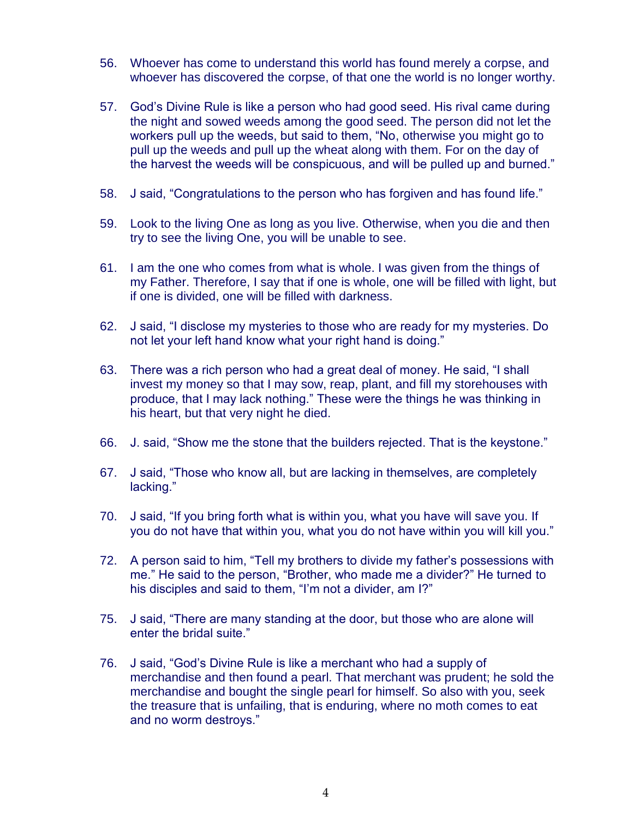- 56. Whoever has come to understand this world has found merely a corpse, and whoever has discovered the corpse, of that one the world is no longer worthy.
- 57. God's Divine Rule is like a person who had good seed. His rival came during the night and sowed weeds among the good seed. The person did not let the workers pull up the weeds, but said to them, "No, otherwise you might go to pull up the weeds and pull up the wheat along with them. For on the day of the harvest the weeds will be conspicuous, and will be pulled up and burned."
- 58. J said, "Congratulations to the person who has forgiven and has found life."
- 59. Look to the living One as long as you live. Otherwise, when you die and then try to see the living One, you will be unable to see.
- 61. I am the one who comes from what is whole. I was given from the things of my Father. Therefore, I say that if one is whole, one will be filled with light, but if one is divided, one will be filled with darkness.
- 62. J said, "I disclose my mysteries to those who are ready for my mysteries. Do not let your left hand know what your right hand is doing."
- 63. There was a rich person who had a great deal of money. He said, "I shall invest my money so that I may sow, reap, plant, and fill my storehouses with produce, that I may lack nothing." These were the things he was thinking in his heart, but that very night he died.
- 66. J. said, "Show me the stone that the builders rejected. That is the keystone."
- 67. J said, "Those who know all, but are lacking in themselves, are completely lacking."
- 70. J said, "If you bring forth what is within you, what you have will save you. If you do not have that within you, what you do not have within you will kill you."
- 72. A person said to him, "Tell my brothers to divide my father's possessions with me." He said to the person, "Brother, who made me a divider?" He turned to his disciples and said to them, "I'm not a divider, am I?"
- 75. J said, "There are many standing at the door, but those who are alone will enter the bridal suite."
- 76. J said, "God's Divine Rule is like a merchant who had a supply of merchandise and then found a pearl. That merchant was prudent; he sold the merchandise and bought the single pearl for himself. So also with you, seek the treasure that is unfailing, that is enduring, where no moth comes to eat and no worm destroys."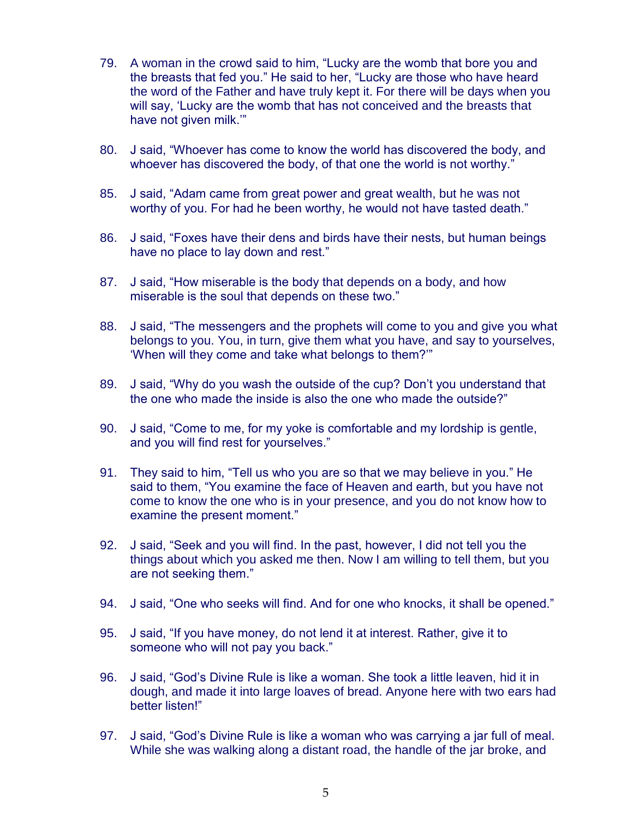- 79. A woman in the crowd said to him, "Lucky are the womb that bore you and the breasts that fed you." He said to her, "Lucky are those who have heard the word of the Father and have truly kept it. For there will be days when you will say, 'Lucky are the womb that has not conceived and the breasts that have not given milk.'"
- 80. J said, "Whoever has come to know the world has discovered the body, and whoever has discovered the body, of that one the world is not worthy."
- 85. J said, "Adam came from great power and great wealth, but he was not worthy of you. For had he been worthy, he would not have tasted death."
- 86. J said, "Foxes have their dens and birds have their nests, but human beings have no place to lay down and rest."
- 87. J said, "How miserable is the body that depends on a body, and how miserable is the soul that depends on these two."
- 88. J said, "The messengers and the prophets will come to you and give you what belongs to you. You, in turn, give them what you have, and say to yourselves, 'When will they come and take what belongs to them?'"
- 89. J said, "Why do you wash the outside of the cup? Don't you understand that the one who made the inside is also the one who made the outside?"
- 90. J said, "Come to me, for my yoke is comfortable and my lordship is gentle, and you will find rest for yourselves."
- 91. They said to him, "Tell us who you are so that we may believe in you." He said to them, "You examine the face of Heaven and earth, but you have not come to know the one who is in your presence, and you do not know how to examine the present moment."
- 92. J said, "Seek and you will find. In the past, however, I did not tell you the things about which you asked me then. Now I am willing to tell them, but you are not seeking them."
- 94. J said, "One who seeks will find. And for one who knocks, it shall be opened."
- 95. J said, "If you have money, do not lend it at interest. Rather, give it to someone who will not pay you back."
- 96. J said, "God's Divine Rule is like a woman. She took a little leaven, hid it in dough, and made it into large loaves of bread. Anyone here with two ears had better listen!"
- 97. J said, "God's Divine Rule is like a woman who was carrying a jar full of meal. While she was walking along a distant road, the handle of the jar broke, and